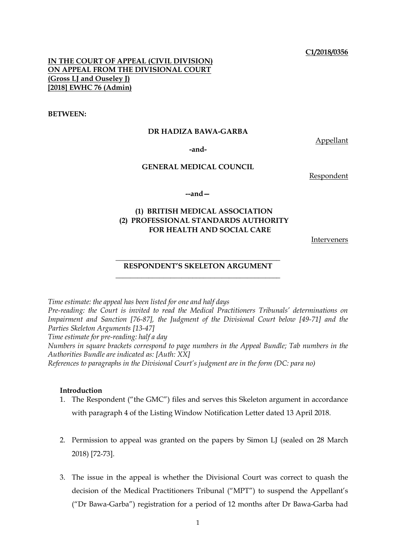#### **C1/2018/0356**

# **IN THE COURT OF APPEAL (CIVIL DIVISION) ON APPEAL FROM THE DIVISIONAL COURT (Gross LJ and Ouseley J) [2018] EWHC 76 (Admin)**

#### **BETWEEN:**

## **DR HADIZA BAWA-GARBA**

Appellant

**-and-**

# **GENERAL MEDICAL COUNCIL**

Respondent

**--and—**

# **(1) BRITISH MEDICAL ASSOCIATION (2) PROFESSIONAL STANDARDS AUTHORITY FOR HEALTH AND SOCIAL CARE**

Interveners

## **\_\_\_\_\_\_\_\_\_\_\_\_\_\_\_\_\_\_\_\_\_\_\_\_\_\_\_\_\_\_\_\_\_\_\_\_\_\_\_\_\_\_\_\_\_ RESPONDENT'S SKELETON ARGUMENT \_\_\_\_\_\_\_\_\_\_\_\_\_\_\_\_\_\_\_\_\_\_\_\_\_\_\_\_\_\_\_\_\_\_\_\_\_\_\_\_\_\_\_\_\_**

*Time estimate: the appeal has been listed for one and half days*

*Pre-reading: the Court is invited to read the Medical Practitioners Tribunals' determinations on Impairment and Sanction [76-87], the Judgment of the Divisional Court below [49-71] and the Parties Skeleton Arguments [13-47]*

*Time estimate for pre-reading: half a day*

*Numbers in square brackets correspond to page numbers in the Appeal Bundle; Tab numbers in the Authorities Bundle are indicated as: [Auth: XX]*

*References to paragraphs in the Divisional Court's judgment are in the form (DC: para no)*

#### **Introduction**

- 1. The Respondent ("the GMC") files and serves this Skeleton argument in accordance with paragraph 4 of the Listing Window Notification Letter dated 13 April 2018.
- 2. Permission to appeal was granted on the papers by Simon LJ (sealed on 28 March) 2018) [72-73].
- 3. The issue in the appeal is whether the Divisional Court was correct to quash the decision of the Medical Practitioners Tribunal ("MPT") to suspend the Appellant's ("Dr Bawa-Garba") registration for a period of 12 months after Dr Bawa-Garba had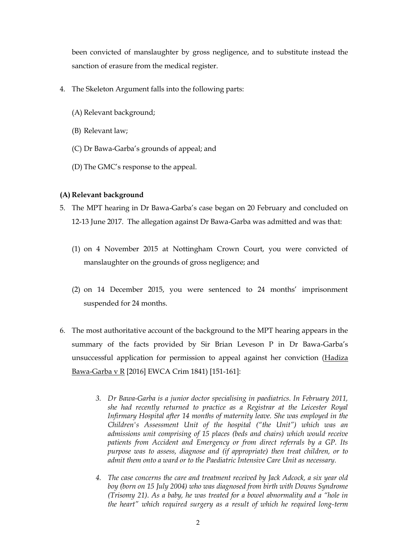been convicted of manslaughter by gross negligence, and to substitute instead the sanction of erasure from the medical register.

- 4. The Skeleton Argument falls into the following parts:
	- (A) Relevant background;
	- (B) Relevant law;
	- (C) Dr Bawa-Garba's grounds of appeal; and
	- (D) The GMC's response to the appeal.

# **(A) Relevant background**

- 5. The MPT hearing in Dr Bawa-Garba's case began on 20 February and concluded on 12-13 June 2017. The allegation against Dr Bawa-Garba was admitted and was that:
	- (1) on 4 November 2015 at Nottingham Crown Court, you were convicted of manslaughter on the grounds of gross negligence; and
	- (2) on 14 December 2015, you were sentenced to 24 months' imprisonment suspended for 24 months.
- 6. The most authoritative account of the background to the MPT hearing appears in the summary of the facts provided by Sir Brian Leveson P in Dr Bawa-Garba's unsuccessful application for permission to appeal against her conviction (Hadiza Bawa-Garba v R [2016] EWCA Crim 1841) [151-161]:
	- *3. Dr Bawa-Garba is a junior doctor specialising in paediatrics. In February 2011, she had recently returned to practice as a Registrar at the Leicester Royal Infirmary Hospital after 14 months of maternity leave. She was employed in the Children's Assessment Unit of the hospital ("the Unit") which was an admissions unit comprising of 15 places (beds and chairs) which would receive patients from Accident and Emergency or from direct referrals by a GP. Its purpose was to assess, diagnose and (if appropriate) then treat children, or to admit them onto a ward or to the Paediatric Intensive Care Unit as necessary.*
	- *4. The case concerns the care and treatment received by Jack Adcock, a six year old boy (born on 15 July 2004) who was diagnosed from birth with Downs Syndrome (Trisomy 21). As a baby, he was treated for a bowel abnormality and a "hole in the heart" which required surgery as a result of which he required long-term*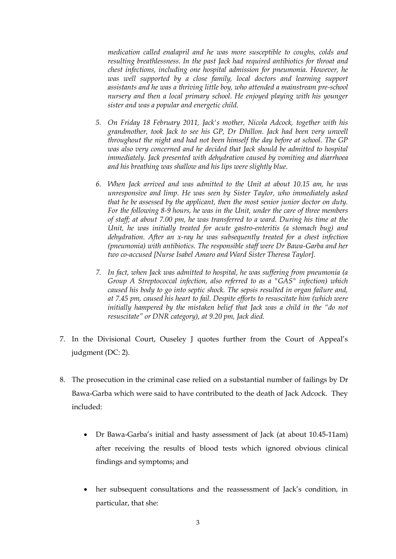*medication called enalapril and he was more susceptible to coughs, colds and resulting breathlessness. In the past Jack had required antibiotics for throat and chest infections, including one hospital admission for pneumonia. However, he was well supported by a close family, local doctors and learning support assistants and he was a thriving little boy, who attended a mainstream pre-school nursery and then a local primary school. He enjoyed playing with his younger sister and was a popular and energetic child.* 

- *5. On Friday 18 February 2011, Jack's mother, Nicola Adcock, together with his grandmother, took Jack to see his GP, Dr Dhillon. Jack had been very unwell throughout the night and had not been himself the day before at school. The GP was also very concerned and he decided that Jack should be admitted to hospital immediately. Jack presented with dehydration caused by vomiting and diarrhoea and his breathing was shallow and his lips were slightly blue.*
- *6. When Jack arrived and was admitted to the Unit at about 10.15 am, he was unresponsive and limp. He was seen by Sister Taylor, who immediately asked that he be assessed by the applicant, then the most senior junior doctor on duty. For the following 8-9 hours, he was in the Unit, under the care of three members of staff; at about 7.00 pm, he was transferred to a ward. During his time at the Unit, he was initially treated for acute gastro-enteritis (a stomach bug) and dehydration. After an x-ray he was subsequently treated for a chest infection (pneumonia) with antibiotics. The responsible staff were Dr Bawa-Garba and her two co-accused [Nurse Isabel Amaro and Ward Sister Theresa Taylor].*
- *7. In fact, when Jack was admitted to hospital, he was suffering from pneumonia (a Group A Streptococcal infection, also referred to as a "GAS" infection) which caused his body to go into septic shock. The sepsis resulted in organ failure and, at 7.45 pm, caused his heart to fail. Despite efforts to resuscitate him (which were initially hampered by the mistaken belief that Jack was a child in the "do not resuscitate" or DNR category), at 9.20 pm, Jack died.*
- 7. In the Divisional Court, Ouseley J quotes further from the Court of Appeal's judgment (DC: 2).
- 8. The prosecution in the criminal case relied on a substantial number of failings by Dr Bawa-Garba which were said to have contributed to the death of Jack Adcock. They included:
	- Dr Bawa-Garba's initial and hasty assessment of Jack (at about 10.45-11am) after receiving the results of blood tests which ignored obvious clinical findings and symptoms; and
	- her subsequent consultations and the reassessment of Jack's condition, in particular, that she: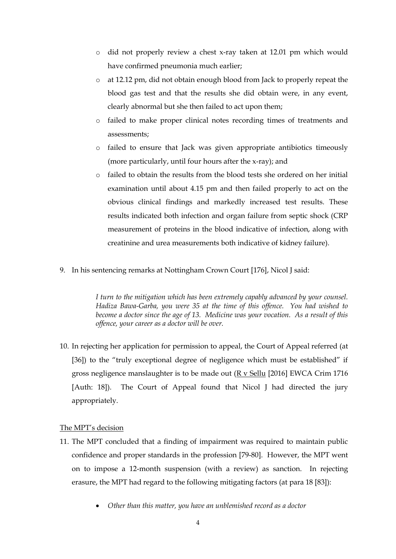- o did not properly review a chest x-ray taken at 12.01 pm which would have confirmed pneumonia much earlier;
- o at 12.12 pm, did not obtain enough blood from Jack to properly repeat the blood gas test and that the results she did obtain were, in any event, clearly abnormal but she then failed to act upon them;
- o failed to make proper clinical notes recording times of treatments and assessments;
- o failed to ensure that Jack was given appropriate antibiotics timeously (more particularly, until four hours after the x-ray); and
- o failed to obtain the results from the blood tests she ordered on her initial examination until about 4.15 pm and then failed properly to act on the obvious clinical findings and markedly increased test results. These results indicated both infection and organ failure from septic shock (CRP measurement of proteins in the blood indicative of infection, along with creatinine and urea measurements both indicative of kidney failure).
- 9. In his sentencing remarks at Nottingham Crown Court [176], Nicol J said:

*I turn to the mitigation which has been extremely capably advanced by your counsel. Hadiza Bawa-Garba, you were 35 at the time of this offence. You had wished to become a doctor since the age of 13. Medicine was your vocation. As a result of this offence, your career as a doctor will be over.*

10. In rejecting her application for permission to appeal, the Court of Appeal referred (at [36]) to the "truly exceptional degree of negligence which must be established" if gross negligence manslaughter is to be made out  $(R v$  Sellu [2016] EWCA Crim 1716 [Auth: 18]). The Court of Appeal found that Nicol J had directed the jury appropriately.

# The MPT's decision

- 11. The MPT concluded that a finding of impairment was required to maintain public confidence and proper standards in the profession [79-80]. However, the MPT went on to impose a 12-month suspension (with a review) as sanction. In rejecting erasure, the MPT had regard to the following mitigating factors (at para 18 [83]):
	- *Other than this matter, you have an unblemished record as a doctor*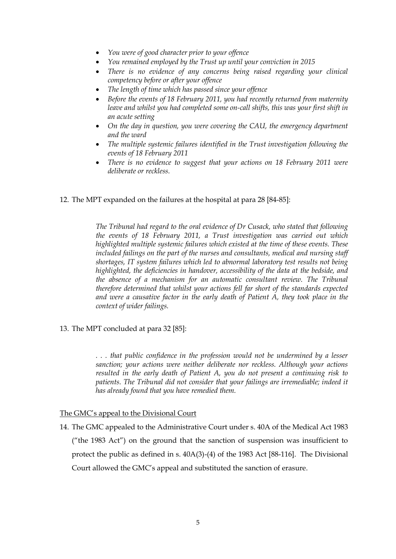- *You were of good character prior to your offence*
- *You remained employed by the Trust up until your conviction in 2015*
- *There is no evidence of any concerns being raised regarding your clinical competency before or after your offence*
- *The length of time which has passed since your offence*
- *Before the events of 18 February 2011, you had recently returned from maternity leave and whilst you had completed some on-call shifts, this was your first shift in an acute setting*
- *On the day in question, you were covering the CAU, the emergency department and the ward*
- *The multiple systemic failures identified in the Trust investigation following the events of 18 February 2011*
- *There is no evidence to suggest that your actions on 18 February 2011 were deliberate or reckless.*
- 12. The MPT expanded on the failures at the hospital at para 28 [84-85]:

*The Tribunal had regard to the oral evidence of Dr Cusack, who stated that following the events of 18 February 2011, a Trust investigation was carried out which highlighted multiple systemic failures which existed at the time of these events. These included failings on the part of the nurses and consultants, medical and nursing staff shortages, IT system failures which led to abnormal laboratory test results not being highlighted, the deficiencies in handover, accessibility of the data at the bedside, and the absence of a mechanism for an automatic consultant review. The Tribunal therefore determined that whilst your actions fell far short of the standards expected and were a causative factor in the early death of Patient A, they took place in the context of wider failings.*

13. The MPT concluded at para 32 [85]:

*. . . that public confidence in the profession would not be undermined by a lesser sanction; your actions were neither deliberate nor reckless. Although your actions resulted in the early death of Patient A, you do not present a continuing risk to patients. The Tribunal did not consider that your failings are irremediable; indeed it has already found that you have remedied them.* 

## The GMC's appeal to the Divisional Court

14. The GMC appealed to the Administrative Court under s. 40A of the Medical Act 1983 ("the 1983 Act") on the ground that the sanction of suspension was insufficient to protect the public as defined in s. 40A(3)-(4) of the 1983 Act [88-116]. The Divisional Court allowed the GMC's appeal and substituted the sanction of erasure.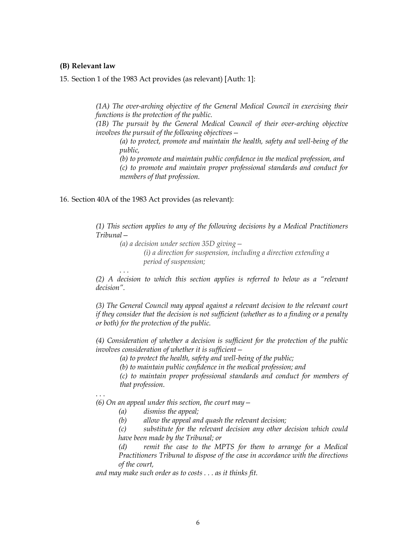#### **(B) Relevant law**

15. Section 1 of the 1983 Act provides (as relevant) [Auth: 1]:

*(1A) The over-arching objective of the General Medical Council in exercising their functions is the protection of the public.*

*(1B) The pursuit by the General Medical Council of their over-arching objective involves the pursuit of the following objectives—*

*(a) to protect, promote and maintain the health, safety and well-being of the public,*

*(b) to promote and maintain public confidence in the medical profession, and (c) to promote and maintain proper professional standards and conduct for* 

*members of that profession.*

#### 16. Section 40A of the 1983 Act provides (as relevant):

*(1) This section applies to any of the following decisions by a Medical Practitioners Tribunal—*

*(a) a decision under section 35D giving— (i) a direction for suspension, including a direction extending a period of suspension;*

*. . .* 

*(2) A decision to which this section applies is referred to below as a "relevant decision".*

*(3) The General Council may appeal against a relevant decision to the relevant court if they consider that the decision is not sufficient (whether as to a finding or a penalty or both) for the protection of the public.*

*(4) Consideration of whether a decision is sufficient for the protection of the public involves consideration of whether it is sufficient—*

*(a) to protect the health, safety and well-being of the public;*

*(b) to maintain public confidence in the medical profession; and*

*(c) to maintain proper professional standards and conduct for members of that profession.*

. . .

*(6) On an appeal under this section, the court may—*

*(a) dismiss the appeal;*

*(b) allow the appeal and quash the relevant decision;*

*(c) substitute for the relevant decision any other decision which could have been made by the Tribunal; or*

*(d) remit the case to the MPTS for them to arrange for a Medical Practitioners Tribunal to dispose of the case in accordance with the directions of the court,*

*and may make such order as to costs . . . as it thinks fit.*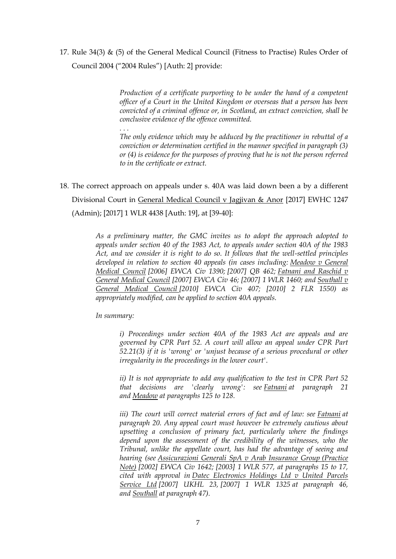17. Rule  $34(3)$  & (5) of the General Medical Council (Fitness to Practise) Rules Order of Council 2004 ("2004 Rules") [Auth: 2] provide:

> *Production of a certificate purporting to be under the hand of a competent officer of a Court in the United Kingdom or overseas that a person has been convicted of a criminal offence or, in Scotland, an extract conviction, shall be conclusive evidence of the offence committed.*

> *The only evidence which may be adduced by the practitioner in rebuttal of a conviction or determination certified in the manner specified in paragraph (3) or (4) is evidence for the purposes of proving that he is not the person referred to in the certificate or extract.*

18. The correct approach on appeals under s. 40A was laid down been a by a different Divisional Court in General Medical Council v Jagjivan & Anor [2017] EWHC 1247 (Admin); [2017] 1 WLR 4438 [Auth: 19], at [39-40]:

> *As a preliminary matter, the GMC invites us to adopt the approach adopted to appeals under section 40 of the 1983 Act, to appeals under section 40A of the 1983 Act, and we consider it is right to do so. It follows that the well-settled principles developed in relation to section 40 appeals (in cases including: Meadow v General Medical Council [\[2006\] EWCA Civ 1390;](http://www.bailii.org/ew/cases/EWCA/Civ/2006/1390.html) [\[2007\] QB 462;](http://www.bailii.org/cgi-bin/redirect.cgi?path=/ew/cases/EWCA/Civ/2006/1390.html) Fatnani and Raschid v General Medical Council [\[2007\] EWCA Civ 46;](http://www.bailii.org/ew/cases/EWCA/Civ/2007/46.html) [\[2007\] 1 WLR 1460;](http://www.bailii.org/cgi-bin/redirect.cgi?path=/ew/cases/EWCA/Civ/2007/46.html) and Southall v General Medical Council [\[2010\] EWCA Civ 407;](http://www.bailii.org/ew/cases/EWCA/Civ/2010/407.html) [2010] 2 FLR 1550) as appropriately modified, can be applied to section 40A appeals.*

*In summary:*

*. . .*

*i) Proceedings under section 40A of the 1983 Act are appeals and are governed by CPR Part 52. A court will allow an appeal under CPR Part 52.21(3) if it is 'wrong' or 'unjust because of a serious procedural or other irregularity in the proceedings in the lower court'.*

*ii) It is not appropriate to add any qualification to the test in CPR Part 52 that decisions are 'clearly wrong': see Fatnani at paragraph 21 and Meadow at paragraphs 125 to 128.*

*iii) The court will correct material errors of fact and of law: see Fatnani at paragraph 20. Any appeal court must however be extremely cautious about upsetting a conclusion of primary fact, particularly where the findings depend upon the assessment of the credibility of the witnesses, who the Tribunal, unlike the appellate court, has had the advantage of seeing and hearing (see Assicurazioni Generali SpA v Arab Insurance Group (Practice Note) [\[2002\] EWCA Civ 1642;](http://www.bailii.org/ew/cases/EWCA/Civ/2002/1642.html) [\[2003\] 1 WLR 577,](http://www.bailii.org/cgi-bin/redirect.cgi?path=/ew/cases/EWCA/Civ/2002/1642.html) at paragraphs 15 to 17, cited with approval in Datec Electronics Holdings Ltd v United Parcels Service Ltd [\[2007\] UKHL 23,](http://www.bailii.org/uk/cases/UKHL/2007/23.html) [\[2007\] 1 WLR 1325](http://www.bailii.org/cgi-bin/redirect.cgi?path=/uk/cases/UKHL/2007/23.html) at paragraph 46, and Southall at paragraph 47).*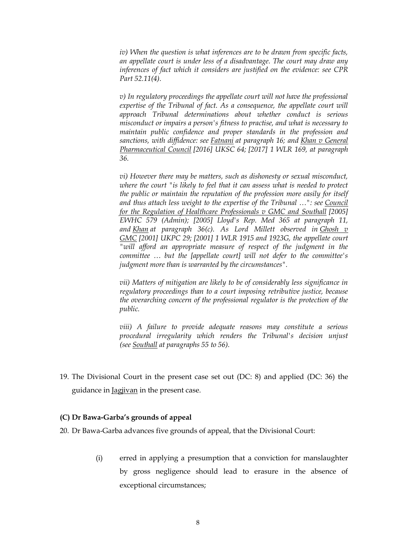*iv) When the question is what inferences are to be drawn from specific facts, an appellate court is under less of a disadvantage. The court may draw any inferences of fact which it considers are justified on the evidence: see CPR Part 52.11(4).*

*v) In regulatory proceedings the appellate court will not have the professional*  expertise of the Tribunal of fact. As a consequence, the appellate court will *approach Tribunal determinations about whether conduct is serious misconduct or impairs a person's fitness to practise, and what is necessary to maintain public confidence and proper standards in the profession and sanctions, with diffidence: see Fatnani at paragraph 16; and Khan v General Pharmaceutical Council [\[2016\] UKSC 64;](http://www.bailii.org/uk/cases/UKSC/2016/64.html) [\[2017\] 1 WLR 169,](http://www.bailii.org/cgi-bin/redirect.cgi?path=/uk/cases/UKSC/2016/64.html) at paragraph 36.*

*vi) However there may be matters, such as dishonesty or sexual misconduct, where the court "is likely to feel that it can assess what is needed to protect the public or maintain the reputation of the profession more easily for itself and thus attach less weight to the expertise of the Tribunal …": see Council for the Regulation of Healthcare Professionals v GMC and Southall [\[2005\]](http://www.bailii.org/ew/cases/EWHC/Admin/2005/579.html)  [EWHC 579 \(Admin\);](http://www.bailii.org/ew/cases/EWHC/Admin/2005/579.html) [2005] Lloyd's Rep. Med 365 at paragraph 11, and Khan at paragraph 36(c). As Lord Millett observed in Ghosh v GMC [\[2001\] UKPC 29;](http://www.bailii.org/uk/cases/UKPC/2001/29.html) [\[2001\] 1 WLR 1915](http://www.bailii.org/cgi-bin/redirect.cgi?path=/uk/cases/UKPC/2001/29.html) and 1923G, the appellate court "will afford an appropriate measure of respect of the judgment in the committee … but the [appellate court] will not defer to the committee's judgment more than is warranted by the circumstances".*

*vii) Matters of mitigation are likely to be of considerably less significance in regulatory proceedings than to a court imposing retributive justice, because the overarching concern of the professional regulator is the protection of the public.*

*viii) A failure to provide adequate reasons may constitute a serious procedural irregularity which renders the Tribunal's decision unjust (see Southall at paragraphs 55 to 56).*

19. The Divisional Court in the present case set out (DC: 8) and applied (DC: 36) the guidance in Jagjivan in the present case.

## **(C) Dr Bawa-Garba's grounds of appeal**

20. Dr Bawa-Garba advances five grounds of appeal, that the Divisional Court:

(i) erred in applying a presumption that a conviction for manslaughter by gross negligence should lead to erasure in the absence of exceptional circumstances;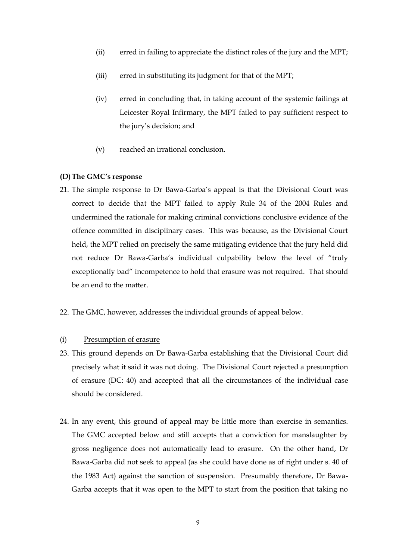- (ii) erred in failing to appreciate the distinct roles of the jury and the MPT;
- (iii) erred in substituting its judgment for that of the MPT;
- (iv) erred in concluding that, in taking account of the systemic failings at Leicester Royal Infirmary, the MPT failed to pay sufficient respect to the jury's decision; and
- (v) reached an irrational conclusion.

#### **(D)The GMC's response**

- 21. The simple response to Dr Bawa-Garba's appeal is that the Divisional Court was correct to decide that the MPT failed to apply Rule 34 of the 2004 Rules and undermined the rationale for making criminal convictions conclusive evidence of the offence committed in disciplinary cases. This was because, as the Divisional Court held, the MPT relied on precisely the same mitigating evidence that the jury held did not reduce Dr Bawa-Garba's individual culpability below the level of "truly exceptionally bad" incompetence to hold that erasure was not required. That should be an end to the matter.
- 22. The GMC, however, addresses the individual grounds of appeal below.

#### (i) Presumption of erasure

- 23. This ground depends on Dr Bawa-Garba establishing that the Divisional Court did precisely what it said it was not doing. The Divisional Court rejected a presumption of erasure (DC: 40) and accepted that all the circumstances of the individual case should be considered.
- 24. In any event, this ground of appeal may be little more than exercise in semantics. The GMC accepted below and still accepts that a conviction for manslaughter by gross negligence does not automatically lead to erasure. On the other hand, Dr Bawa-Garba did not seek to appeal (as she could have done as of right under s. 40 of the 1983 Act) against the sanction of suspension. Presumably therefore, Dr Bawa-Garba accepts that it was open to the MPT to start from the position that taking no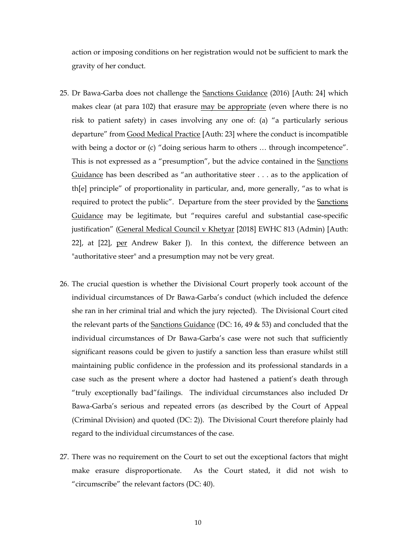action or imposing conditions on her registration would not be sufficient to mark the gravity of her conduct.

- 25. Dr Bawa-Garba does not challenge the Sanctions Guidance (2016) [Auth: 24] which makes clear (at para 102) that erasure may be appropriate (even where there is no risk to patient safety) in cases involving any one of: (a) "a particularly serious departure" from Good Medical Practice [Auth: 23] where the conduct is incompatible with being a doctor or (c) "doing serious harm to others ... through incompetence". This is not expressed as a "presumption", but the advice contained in the Sanctions Guidance has been described as "an authoritative steer . . . as to the application of th[e] principle" of proportionality in particular, and, more generally, "as to what is required to protect the public". Departure from the steer provided by the Sanctions Guidance may be legitimate, but "requires careful and substantial case-specific justification" (General Medical Council v Khetyar [2018] EWHC 813 (Admin) [Auth: 22], at [22], per Andrew Baker J). In this context, the difference between an "authoritative steer" and a presumption may not be very great.
- 26. The crucial question is whether the Divisional Court properly took account of the individual circumstances of Dr Bawa-Garba's conduct (which included the defence she ran in her criminal trial and which the jury rejected). The Divisional Court cited the relevant parts of the Sanctions Guidance (DC: 16, 49 & 53) and concluded that the individual circumstances of Dr Bawa-Garba's case were not such that sufficiently significant reasons could be given to justify a sanction less than erasure whilst still maintaining public confidence in the profession and its professional standards in a case such as the present where a doctor had hastened a patient's death through "truly exceptionally bad"failings. The individual circumstances also included Dr Bawa-Garba's serious and repeated errors (as described by the Court of Appeal (Criminal Division) and quoted (DC: 2)). The Divisional Court therefore plainly had regard to the individual circumstances of the case.
- 27. There was no requirement on the Court to set out the exceptional factors that might make erasure disproportionate. As the Court stated, it did not wish to "circumscribe" the relevant factors (DC: 40).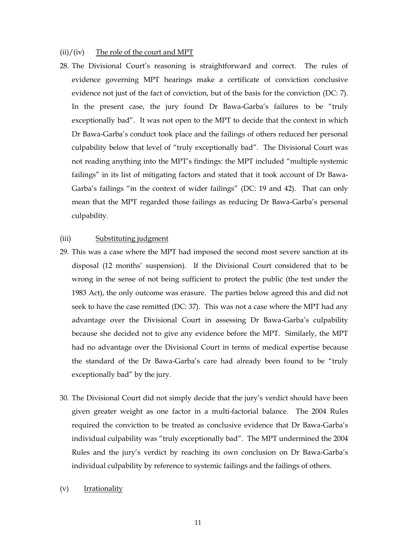#### $(ii)/(iv)$  The role of the court and MPT

28. The Divisional Court's reasoning is straightforward and correct. The rules of evidence governing MPT hearings make a certificate of conviction conclusive evidence not just of the fact of conviction, but of the basis for the conviction (DC: 7). In the present case, the jury found Dr Bawa-Garba's failures to be "truly exceptionally bad". It was not open to the MPT to decide that the context in which Dr Bawa-Garba's conduct took place and the failings of others reduced her personal culpability below that level of "truly exceptionally bad". The Divisional Court was not reading anything into the MPT's findings: the MPT included "multiple systemic failings" in its list of mitigating factors and stated that it took account of Dr Bawa-Garba's failings "in the context of wider failings" (DC: 19 and 42). That can only mean that the MPT regarded those failings as reducing Dr Bawa-Garba's personal culpability.

#### (iii) Substituting judgment

- 29. This was a case where the MPT had imposed the second most severe sanction at its disposal (12 months' suspension). If the Divisional Court considered that to be wrong in the sense of not being sufficient to protect the public (the test under the 1983 Act), the only outcome was erasure. The parties below agreed this and did not seek to have the case remitted (DC: 37). This was not a case where the MPT had any advantage over the Divisional Court in assessing Dr Bawa-Garba's culpability because she decided not to give any evidence before the MPT. Similarly, the MPT had no advantage over the Divisional Court in terms of medical expertise because the standard of the Dr Bawa-Garba's care had already been found to be "truly exceptionally bad" by the jury.
- 30. The Divisional Court did not simply decide that the jury's verdict should have been given greater weight as one factor in a multi-factorial balance. The 2004 Rules required the conviction to be treated as conclusive evidence that Dr Bawa-Garba's individual culpability was "truly exceptionally bad". The MPT undermined the 2004 Rules and the jury's verdict by reaching its own conclusion on Dr Bawa-Garba's individual culpability by reference to systemic failings and the failings of others.
- (v) Irrationality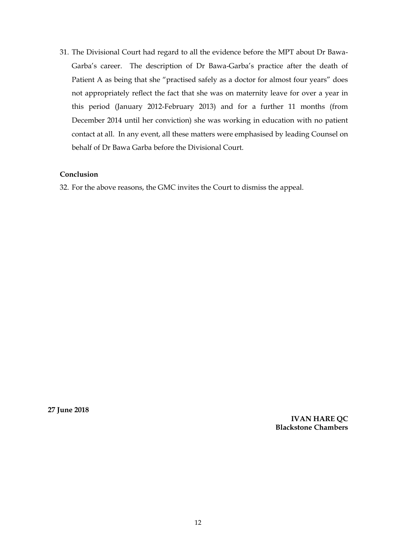31. The Divisional Court had regard to all the evidence before the MPT about Dr Bawa-Garba's career. The description of Dr Bawa-Garba's practice after the death of Patient A as being that she "practised safely as a doctor for almost four years" does not appropriately reflect the fact that she was on maternity leave for over a year in this period (January 2012-February 2013) and for a further 11 months (from December 2014 until her conviction) she was working in education with no patient contact at all. In any event, all these matters were emphasised by leading Counsel on behalf of Dr Bawa Garba before the Divisional Court.

# **Conclusion**

32. For the above reasons, the GMC invites the Court to dismiss the appeal.

**27 June 2018**

**IVAN HARE QC Blackstone Chambers**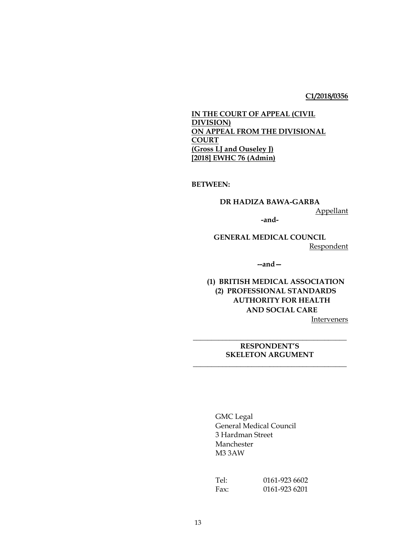## **C1/2018/0356**

**IN THE COURT OF APPEAL (CIVIL DIVISION) ON APPEAL FROM THE DIVISIONAL COURT (Gross LJ and Ouseley J) [2018] EWHC 76 (Admin)** 

**BETWEEN:**

**DR HADIZA BAWA-GARBA** Appellant **-and-**

**GENERAL MEDICAL COUNCIL** Respondent

**--and—**

**(1) BRITISH MEDICAL ASSOCIATION (2) PROFESSIONAL STANDARDS AUTHORITY FOR HEALTH AND SOCIAL CARE**

**Interveners** 

# **\_\_\_\_\_\_\_\_\_\_\_\_\_\_\_\_\_\_\_\_\_\_\_\_\_\_\_\_\_\_\_\_\_\_\_\_\_\_\_\_\_\_ RESPONDENT'S SKELETON ARGUMENT**

**\_\_\_\_\_\_\_\_\_\_\_\_\_\_\_\_\_\_\_\_\_\_\_\_\_\_\_\_\_\_\_\_\_\_\_\_\_\_\_\_\_\_**

GMC Legal General Medical Council 3 Hardman Street Manchester M3 3AW

Tel: 0161-923 6602 Fax: 0161-923 6201